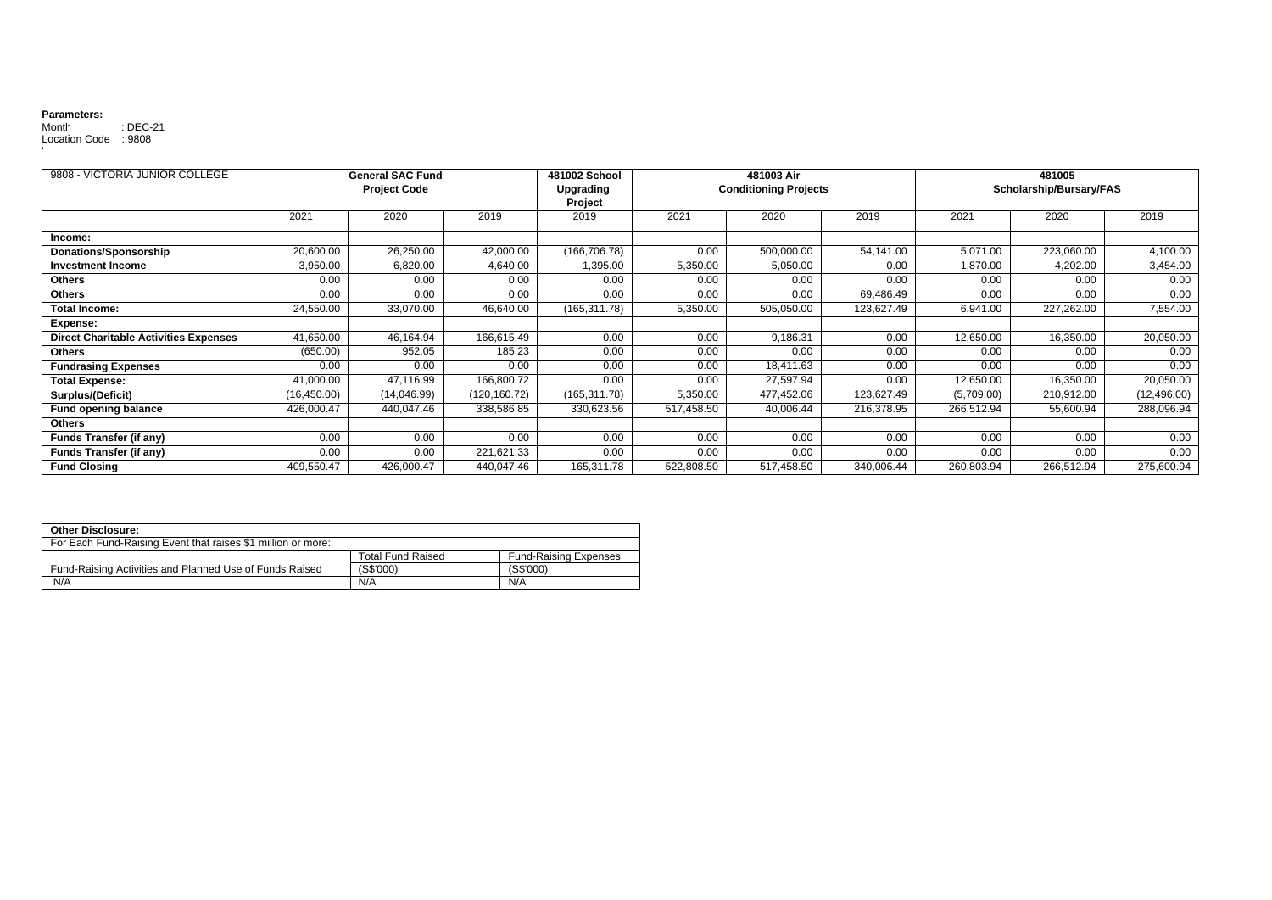## **Parameters:**

Month : DEC-21 Location Code : 9808 '

| 9808 - VICTORIA JUNIOR COLLEGE               | <b>General SAC Fund</b><br><b>Project Code</b> |             |               | 481002 School<br>Upgrading | 481003 Air<br><b>Conditioning Projects</b> |            |            | 481005<br>Scholarship/Bursary/FAS |            |              |
|----------------------------------------------|------------------------------------------------|-------------|---------------|----------------------------|--------------------------------------------|------------|------------|-----------------------------------|------------|--------------|
|                                              |                                                |             |               | Project                    |                                            |            |            |                                   |            |              |
|                                              | 2021                                           | 2020        | 2019          | 2019                       | 2021                                       | 2020       | 2019       | 2021                              | 2020       | 2019         |
| Income:                                      |                                                |             |               |                            |                                            |            |            |                                   |            |              |
| Donations/Sponsorship                        | 20,600.00                                      | 26,250.00   | 42,000.00     | (166, 706.78)              | 0.00                                       | 500,000.00 | 54,141.00  | 5,071.00                          | 223,060.00 | 4,100.00     |
| <b>Investment Income</b>                     | 3,950.00                                       | 6,820.00    | 4,640.00      | 1,395.00                   | 5,350.00                                   | 5,050.00   | 0.00       | ,870.00                           | 4,202.00   | 3,454.00     |
| <b>Others</b>                                | 0.00                                           | 0.00        | 0.00          | 0.00                       | 0.00                                       | 0.00       | 0.00       | 0.00                              | 0.00       | 0.00         |
| <b>Others</b>                                | 0.00                                           | 0.00        | 0.00          | 0.00                       | 0.00                                       | 0.00       | 69,486.49  | 0.00                              | 0.00       | 0.00         |
| <b>Total Income:</b>                         | 24,550.00                                      | 33,070.00   | 46,640.00     | (165, 311.78)              | 5,350.00                                   | 505,050.00 | 123,627.49 | 6,941.00                          | 227,262.00 | 7,554.00     |
| Expense:                                     |                                                |             |               |                            |                                            |            |            |                                   |            |              |
| <b>Direct Charitable Activities Expenses</b> | 41,650.00                                      | 46,164.94   | 166,615.49    | 0.00                       | 0.00                                       | 9,186.31   | 0.00       | 12,650.00                         | 16,350.00  | 20,050.00    |
| <b>Others</b>                                | (650.00)                                       | 952.05      | 185.23        | 0.00                       | 0.00                                       | 0.00       | 0.00       | 0.00                              | 0.00       | 0.00         |
| <b>Fundrasing Expenses</b>                   | 0.00                                           | 0.00        | 0.00          | 0.00                       | 0.00                                       | 18,411.63  | 0.00       | 0.00                              | 0.00       | 0.00         |
| <b>Total Expense:</b>                        | 41,000.00                                      | 47,116.99   | 166,800.72    | 0.00                       | 0.00                                       | 27,597.94  | 0.00       | 12,650.00                         | 16,350.00  | 20,050.00    |
| Surplus/(Deficit)                            | (16,450.00)                                    | (14,046.99) | (120, 160.72) | (165,311.78)               | 5,350.00                                   | 477,452.06 | 123,627.49 | (5,709.00)                        | 210,912.00 | (12, 496.00) |
| <b>Fund opening balance</b>                  | 426,000.47                                     | 440,047.46  | 338,586.85    | 330,623.56                 | 517,458.50                                 | 40,006.44  | 216,378.95 | 266,512.94                        | 55,600.94  | 288,096.94   |
| <b>Others</b>                                |                                                |             |               |                            |                                            |            |            |                                   |            |              |
| <b>Funds Transfer (if any)</b>               | 0.00                                           | 0.00        | 0.00          | 0.00                       | 0.00                                       | 0.00       | 0.00       | 0.00                              | 0.00       | 0.00         |
| <b>Funds Transfer (if any)</b>               | 0.00                                           | 0.00        | 221,621.33    | 0.00                       | 0.00                                       | 0.00       | 0.00       | 0.00                              | 0.00       | 0.00         |
| <b>Fund Closing</b>                          | 409,550.47                                     | 426,000.47  | 440,047.46    | 165,311.78                 | 522,808.50                                 | 517,458.50 | 340,006.44 | 260,803.94                        | 266,512.94 | 275,600.94   |

| <b>Other Disclosure:</b>                                     |                          |                              |  |  |  |
|--------------------------------------------------------------|--------------------------|------------------------------|--|--|--|
| For Each Fund-Raising Event that raises \$1 million or more: |                          |                              |  |  |  |
|                                                              | <b>Total Fund Raised</b> | <b>Fund-Raising Expenses</b> |  |  |  |
| Fund-Raising Activities and Planned Use of Funds Raised      | (S\$'000)                | (S\$'000)                    |  |  |  |
| N/A                                                          | N/A                      | N/A                          |  |  |  |